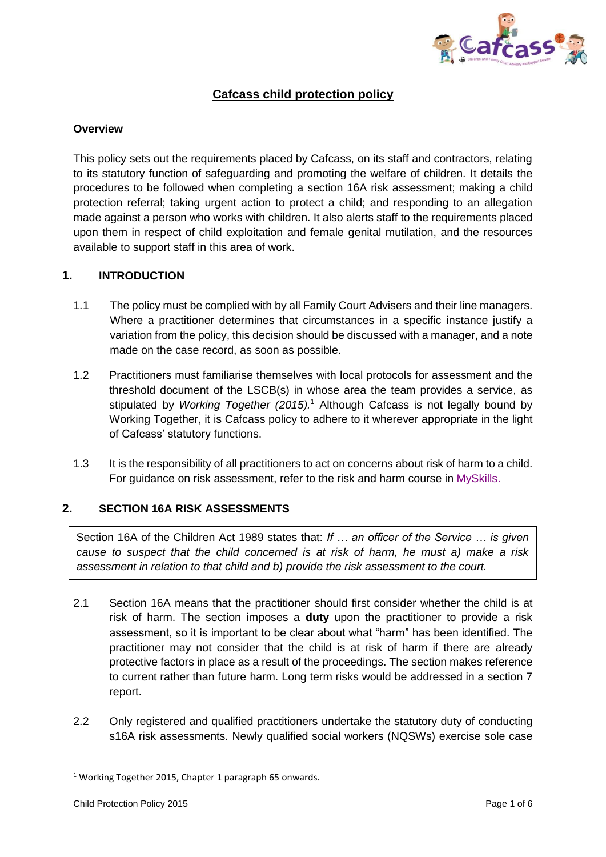

# **Cafcass child protection policy**

### **Overview**

This policy sets out the requirements placed by Cafcass, on its staff and contractors, relating to its statutory function of safeguarding and promoting the welfare of children. It details the procedures to be followed when completing a section 16A risk assessment; making a child protection referral; taking urgent action to protect a child; and responding to an allegation made against a person who works with children. It also alerts staff to the requirements placed upon them in respect of child exploitation and female genital mutilation, and the resources available to support staff in this area of work.

### **1. INTRODUCTION**

- 1.1 The policy must be complied with by all Family Court Advisers and their line managers. Where a practitioner determines that circumstances in a specific instance justify a variation from the policy, this decision should be discussed with a manager, and a note made on the case record, as soon as possible.
- 1.2 Practitioners must familiarise themselves with local protocols for assessment and the threshold document of the LSCB(s) in whose area the team provides a service, as stipulated by *Working Together (2015).* <sup>1</sup> Although Cafcass is not legally bound by Working Together, it is Cafcass policy to adhere to it wherever appropriate in the light of Cafcass' statutory functions.
- 1.3 It is the responsibility of all practitioners to act on concerns about risk of harm to a child. For guidance on risk assessment, refer to the risk and harm course in [MySkills.](http://cafcass.learningpool.com/totara/dashboard/index.php)

### **2. SECTION 16A RISK ASSESSMENTS**

Section 16A of the Children Act 1989 states that: *If … an officer of the Service … is given cause to suspect that the child concerned is at risk of harm, he must a) make a risk assessment in relation to that child and b) provide the risk assessment to the court.*

- 2.1 Section 16A means that the practitioner should first consider whether the child is at risk of harm. The section imposes a **duty** upon the practitioner to provide a risk assessment, so it is important to be clear about what "harm" has been identified. The practitioner may not consider that the child is at risk of harm if there are already protective factors in place as a result of the proceedings. The section makes reference to current rather than future harm. Long term risks would be addressed in a section 7 report.
- 2.2 Only registered and qualified practitioners undertake the statutory duty of conducting s16A risk assessments. Newly qualified social workers (NQSWs) exercise sole case

**.** 

<sup>&</sup>lt;sup>1</sup> Working Together 2015, Chapter 1 paragraph 65 onwards.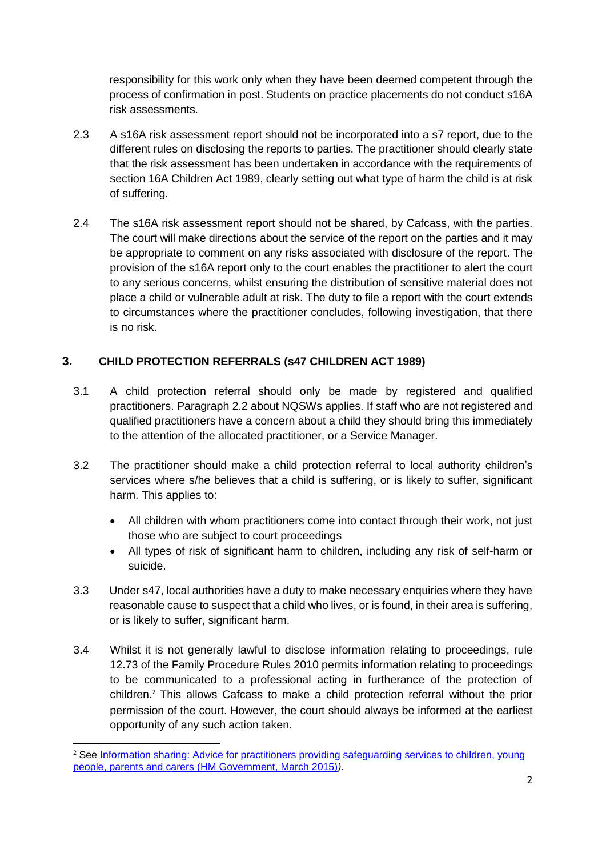responsibility for this work only when they have been deemed competent through the process of confirmation in post. Students on practice placements do not conduct s16A risk assessments.

- 2.3 A s16A risk assessment report should not be incorporated into a s7 report, due to the different rules on disclosing the reports to parties. The practitioner should clearly state that the risk assessment has been undertaken in accordance with the requirements of section 16A Children Act 1989, clearly setting out what type of harm the child is at risk of suffering.
- 2.4 The s16A risk assessment report should not be shared, by Cafcass, with the parties. The court will make directions about the service of the report on the parties and it may be appropriate to comment on any risks associated with disclosure of the report. The provision of the s16A report only to the court enables the practitioner to alert the court to any serious concerns, whilst ensuring the distribution of sensitive material does not place a child or vulnerable adult at risk. The duty to file a report with the court extends to circumstances where the practitioner concludes, following investigation, that there is no risk.

# **3. CHILD PROTECTION REFERRALS (s47 CHILDREN ACT 1989)**

- 3.1 A child protection referral should only be made by registered and qualified practitioners. Paragraph 2.2 about NQSWs applies. If staff who are not registered and qualified practitioners have a concern about a child they should bring this immediately to the attention of the allocated practitioner, or a Service Manager.
- 3.2 The practitioner should make a child protection referral to local authority children's services where s/he believes that a child is suffering, or is likely to suffer, significant harm. This applies to:
	- All children with whom practitioners come into contact through their work, not just those who are subject to court proceedings
	- All types of risk of significant harm to children, including any risk of self-harm or suicide.
- 3.3 Under s47, local authorities have a duty to make necessary enquiries where they have reasonable cause to suspect that a child who lives, or is found, in their area is suffering, or is likely to suffer, significant harm.
- 3.4 Whilst it is not generally lawful to disclose information relating to proceedings, rule 12.73 of the Family Procedure Rules 2010 permits information relating to proceedings to be communicated to a professional acting in furtherance of the protection of children.<sup>2</sup> This allows Cafcass to make a child protection referral without the prior permission of the court. However, the court should always be informed at the earliest opportunity of any such action taken.

**.** 

<sup>&</sup>lt;sup>2</sup> See Information sharing: Advice for practitioners providing safeguarding services to children, young [people, parents and carers \(HM Government, March 2015\)](https://www.gov.uk/government/uploads/system/uploads/attachment_data/file/419628/Information_sharing_advice_safeguarding_practitioners.pdf)*).*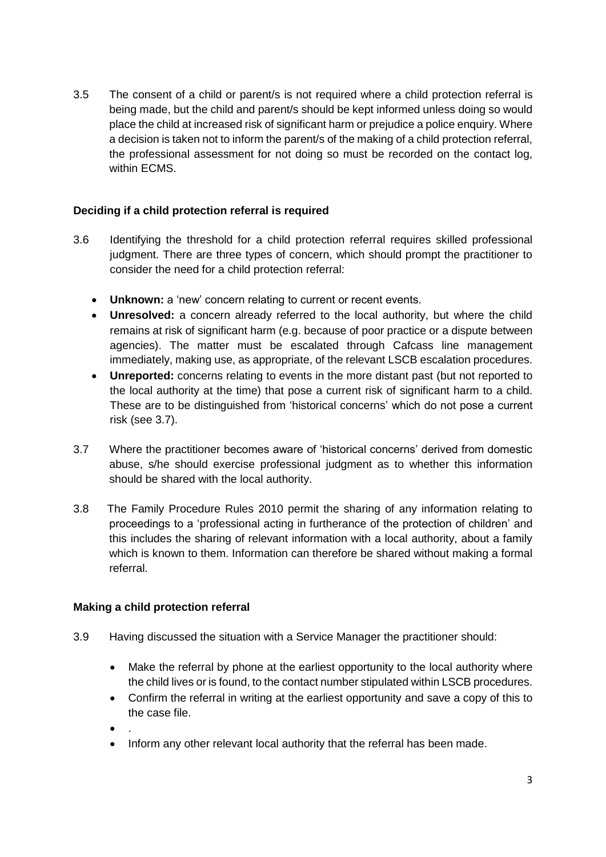3.5 The consent of a child or parent/s is not required where a child protection referral is being made, but the child and parent/s should be kept informed unless doing so would place the child at increased risk of significant harm or prejudice a police enquiry. Where a decision is taken not to inform the parent/s of the making of a child protection referral, the professional assessment for not doing so must be recorded on the contact log, within ECMS.

## **Deciding if a child protection referral is required**

- 3.6 Identifying the threshold for a child protection referral requires skilled professional judgment. There are three types of concern, which should prompt the practitioner to consider the need for a child protection referral:
	- **Unknown:** a 'new' concern relating to current or recent events.
	- **Unresolved:** a concern already referred to the local authority, but where the child remains at risk of significant harm (e.g. because of poor practice or a dispute between agencies). The matter must be escalated through Cafcass line management immediately, making use, as appropriate, of the relevant LSCB escalation procedures.
	- **Unreported:** concerns relating to events in the more distant past (but not reported to the local authority at the time) that pose a current risk of significant harm to a child. These are to be distinguished from 'historical concerns' which do not pose a current risk (see 3.7).
- 3.7 Where the practitioner becomes aware of 'historical concerns' derived from domestic abuse, s/he should exercise professional judgment as to whether this information should be shared with the local authority.
- 3.8 The Family Procedure Rules 2010 permit the sharing of any information relating to proceedings to a 'professional acting in furtherance of the protection of children' and this includes the sharing of relevant information with a local authority, about a family which is known to them. Information can therefore be shared without making a formal referral.

## **Making a child protection referral**

- 3.9 Having discussed the situation with a Service Manager the practitioner should:
	- Make the referral by phone at the earliest opportunity to the local authority where the child lives or is found, to the contact number stipulated within LSCB procedures.
	- Confirm the referral in writing at the earliest opportunity and save a copy of this to the case file.
	- $\bullet$
	- Inform any other relevant local authority that the referral has been made.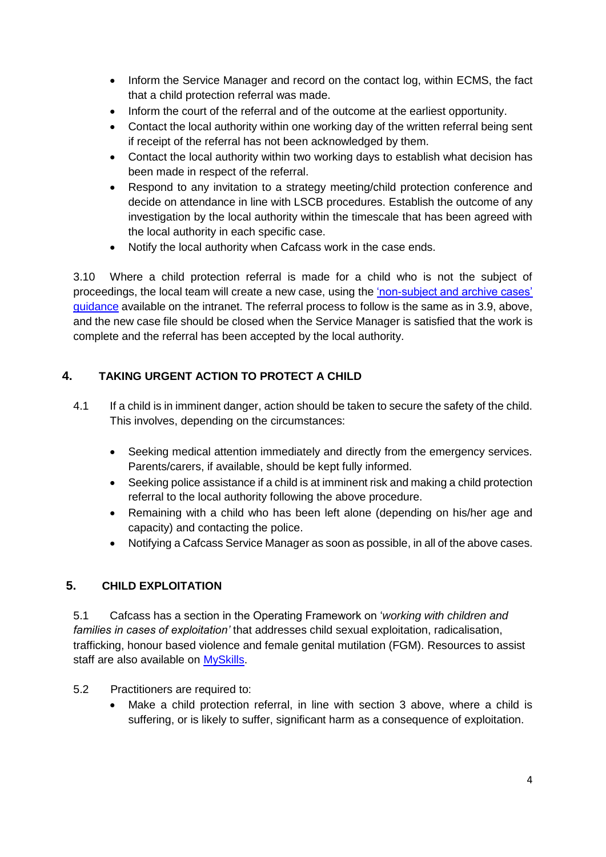- Inform the Service Manager and record on the contact log, within ECMS, the fact that a child protection referral was made.
- Inform the court of the referral and of the outcome at the earliest opportunity.
- Contact the local authority within one working day of the written referral being sent if receipt of the referral has not been acknowledged by them.
- Contact the local authority within two working days to establish what decision has been made in respect of the referral.
- Respond to any invitation to a strategy meeting/child protection conference and decide on attendance in line with LSCB procedures. Establish the outcome of any investigation by the local authority within the timescale that has been agreed with the local authority in each specific case.
- Notify the local authority when Cafcass work in the case ends.

3.10 Where a child protection referral is made for a child who is not the subject of proceedings, the local team will create a new case, using the ['non-subject and archive cases'](http://intranet4cafcass/departments/Documents/MIS/Definition%20and%20Guidance/Private%20law%20guidance%20for%20business%20support%20Update%20June%2017.pdf)  [guidance](http://intranet4cafcass/departments/Documents/MIS/Definition%20and%20Guidance/Private%20law%20guidance%20for%20business%20support%20Update%20June%2017.pdf) available on the intranet. The referral process to follow is the same as in 3.9, above, and the new case file should be closed when the Service Manager is satisfied that the work is complete and the referral has been accepted by the local authority.

# **4. TAKING URGENT ACTION TO PROTECT A CHILD**

- 4.1 If a child is in imminent danger, action should be taken to secure the safety of the child. This involves, depending on the circumstances:
	- Seeking medical attention immediately and directly from the emergency services. Parents/carers, if available, should be kept fully informed.
	- Seeking police assistance if a child is at imminent risk and making a child protection referral to the local authority following the above procedure.
	- Remaining with a child who has been left alone (depending on his/her age and capacity) and contacting the police.
	- Notifying a Cafcass Service Manager as soon as possible, in all of the above cases.

## **5. CHILD EXPLOITATION**

5.1 Cafcass has a section in the Operating Framework on '*working with children and families in cases of exploitation'* that addresses child sexual exploitation, radicalisation, trafficking, honour based violence and female genital mutilation (FGM). Resources to assist staff are also available on [MySkills.](http://cafcass.learningpool.com/)

### 5.2 Practitioners are required to:

 Make a child protection referral, in line with section 3 above, where a child is suffering, or is likely to suffer, significant harm as a consequence of exploitation.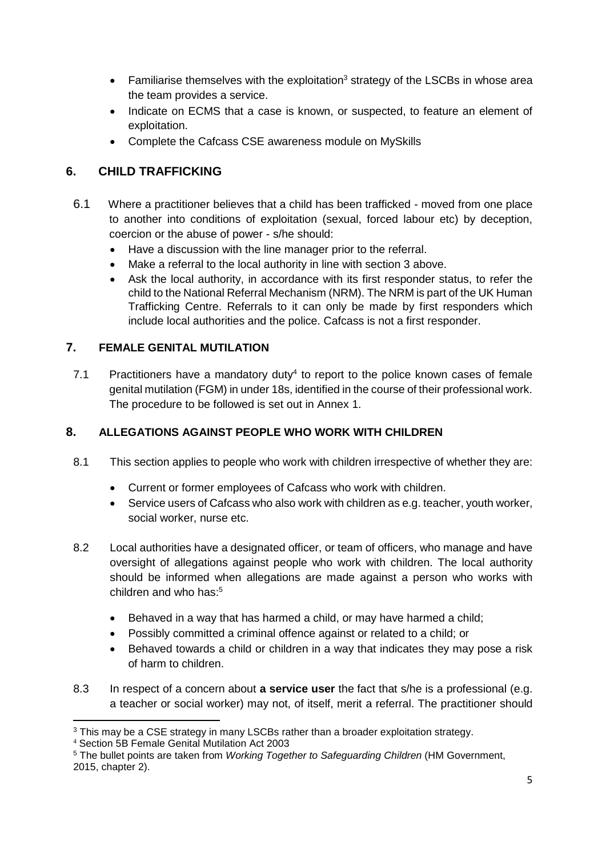- **•** Familiarise themselves with the exploitation<sup>3</sup> strategy of the LSCBs in whose area the team provides a service.
- Indicate on ECMS that a case is known, or suspected, to feature an element of exploitation.
- Complete the Cafcass CSE awareness module on MySkills

# **6. CHILD TRAFFICKING**

- 6.1 Where a practitioner believes that a child has been trafficked moved from one place to another into conditions of exploitation (sexual, forced labour etc) by deception, coercion or the abuse of power - s/he should:
	- Have a discussion with the line manager prior to the referral.
	- Make a referral to the local authority in line with section 3 above.
	- Ask the local authority, in accordance with its first responder status, to refer the child to the National Referral Mechanism (NRM). The NRM is part of the UK Human Trafficking Centre. Referrals to it can only be made by first responders which include local authorities and the police. Cafcass is not a first responder.

# **7. FEMALE GENITAL MUTILATION**

7.1 Practitioners have a mandatory duty<sup>4</sup> to report to the police known cases of female genital mutilation (FGM) in under 18s, identified in the course of their professional work. The procedure to be followed is set out in Annex 1.

# **8. ALLEGATIONS AGAINST PEOPLE WHO WORK WITH CHILDREN**

- 8.1 This section applies to people who work with children irrespective of whether they are:
	- Current or former employees of Cafcass who work with children.
	- Service users of Cafcass who also work with children as e.g. teacher, youth worker, social worker, nurse etc.
- 8.2 Local authorities have a designated officer, or team of officers, who manage and have oversight of allegations against people who work with children. The local authority should be informed when allegations are made against a person who works with children and who has:<sup>5</sup>
	- Behaved in a way that has harmed a child, or may have harmed a child;
	- Possibly committed a criminal offence against or related to a child; or
	- Behaved towards a child or children in a way that indicates they may pose a risk of harm to children.
- 8.3 In respect of a concern about **a service user** the fact that s/he is a professional (e.g. a teacher or social worker) may not, of itself, merit a referral. The practitioner should

**.** 

<sup>&</sup>lt;sup>3</sup> This may be a CSE strategy in many LSCBs rather than a broader exploitation strategy.

<sup>4</sup> Section 5B Female Genital Mutilation Act 2003

<sup>5</sup> The bullet points are taken from *Working Together to Safeguarding Children* (HM Government, 2015, chapter 2).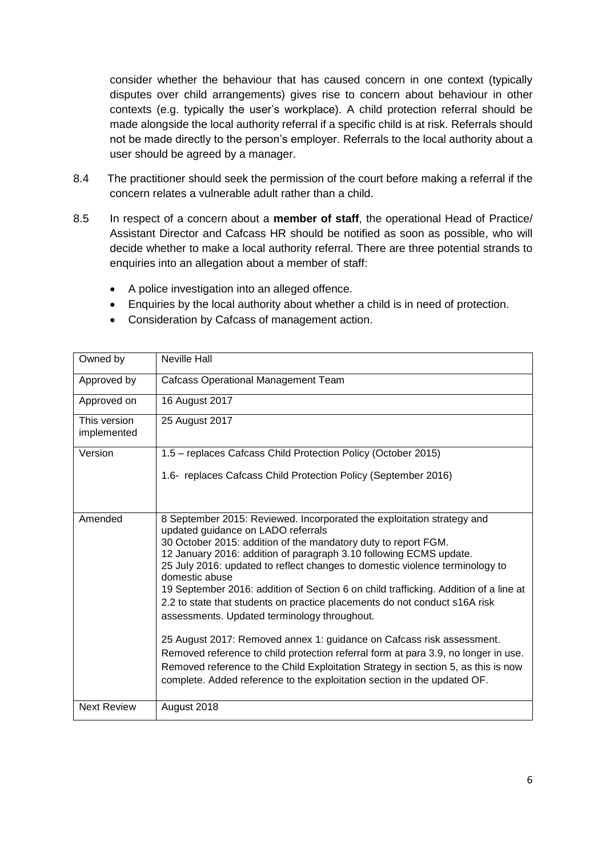consider whether the behaviour that has caused concern in one context (typically disputes over child arrangements) gives rise to concern about behaviour in other contexts (e.g. typically the user's workplace). A child protection referral should be made alongside the local authority referral if a specific child is at risk. Referrals should not be made directly to the person's employer. Referrals to the local authority about a user should be agreed by a manager.

- 8.4 The practitioner should seek the permission of the court before making a referral if the concern relates a vulnerable adult rather than a child.
- 8.5 In respect of a concern about a **member of staff**, the operational Head of Practice/ Assistant Director and Cafcass HR should be notified as soon as possible, who will decide whether to make a local authority referral. There are three potential strands to enquiries into an allegation about a member of staff:
	- A police investigation into an alleged offence.
	- Enquiries by the local authority about whether a child is in need of protection.
	- Consideration by Cafcass of management action.

| Owned by                    | <b>Neville Hall</b>                                                                                                                                                                                                                                                                                                                                                                                                                                                                                                                                                                                                                                   |
|-----------------------------|-------------------------------------------------------------------------------------------------------------------------------------------------------------------------------------------------------------------------------------------------------------------------------------------------------------------------------------------------------------------------------------------------------------------------------------------------------------------------------------------------------------------------------------------------------------------------------------------------------------------------------------------------------|
| Approved by                 | <b>Cafcass Operational Management Team</b>                                                                                                                                                                                                                                                                                                                                                                                                                                                                                                                                                                                                            |
| Approved on                 | 16 August 2017                                                                                                                                                                                                                                                                                                                                                                                                                                                                                                                                                                                                                                        |
| This version<br>implemented | 25 August 2017                                                                                                                                                                                                                                                                                                                                                                                                                                                                                                                                                                                                                                        |
| Version                     | 1.5 - replaces Cafcass Child Protection Policy (October 2015)                                                                                                                                                                                                                                                                                                                                                                                                                                                                                                                                                                                         |
|                             | 1.6- replaces Cafcass Child Protection Policy (September 2016)                                                                                                                                                                                                                                                                                                                                                                                                                                                                                                                                                                                        |
| Amended                     | 8 September 2015: Reviewed. Incorporated the exploitation strategy and<br>updated guidance on LADO referrals<br>30 October 2015: addition of the mandatory duty to report FGM.<br>12 January 2016: addition of paragraph 3.10 following ECMS update.<br>25 July 2016: updated to reflect changes to domestic violence terminology to<br>domestic abuse<br>19 September 2016: addition of Section 6 on child trafficking. Addition of a line at<br>2.2 to state that students on practice placements do not conduct s16A risk<br>assessments. Updated terminology throughout.<br>25 August 2017: Removed annex 1: guidance on Cafcass risk assessment. |
|                             | Removed reference to child protection referral form at para 3.9, no longer in use.<br>Removed reference to the Child Exploitation Strategy in section 5, as this is now<br>complete. Added reference to the exploitation section in the updated OF.                                                                                                                                                                                                                                                                                                                                                                                                   |
| <b>Next Review</b>          | August 2018                                                                                                                                                                                                                                                                                                                                                                                                                                                                                                                                                                                                                                           |